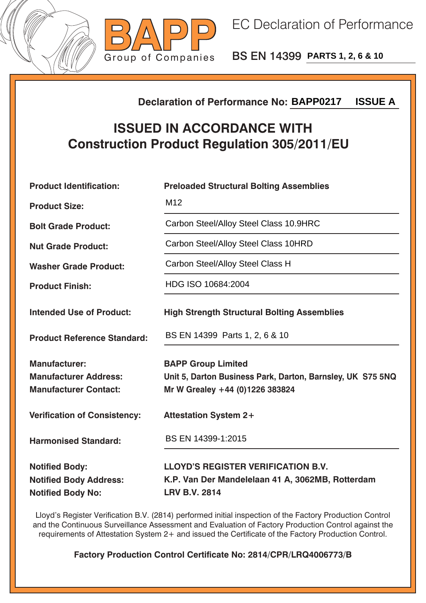



BS EN 14399 **PARTS 1, 2, 6 & 10**

## **Declaration of Performance No:**

## **ISSUED IN ACCORDANCE WITH Construction Product Regulation 305/2011/EU**

| <b>ISSUE A</b><br><b>Declaration of Performance No: BAPP0217</b>                       |                                                                                                                            |  |  |
|----------------------------------------------------------------------------------------|----------------------------------------------------------------------------------------------------------------------------|--|--|
| <b>ISSUED IN ACCORDANCE WITH</b><br><b>Construction Product Regulation 305/2011/EU</b> |                                                                                                                            |  |  |
| <b>Product Identification:</b>                                                         | <b>Preloaded Structural Bolting Assemblies</b>                                                                             |  |  |
| <b>Product Size:</b>                                                                   | M <sub>12</sub>                                                                                                            |  |  |
| <b>Bolt Grade Product:</b>                                                             | Carbon Steel/Alloy Steel Class 10.9HRC                                                                                     |  |  |
| <b>Nut Grade Product:</b>                                                              | Carbon Steel/Alloy Steel Class 10HRD                                                                                       |  |  |
| <b>Washer Grade Product:</b>                                                           | Carbon Steel/Alloy Steel Class H                                                                                           |  |  |
| <b>Product Finish:</b>                                                                 | HDG ISO 10684:2004                                                                                                         |  |  |
| <b>Intended Use of Product:</b>                                                        | <b>High Strength Structural Bolting Assemblies</b>                                                                         |  |  |
| <b>Product Reference Standard:</b>                                                     | BS EN 14399 Parts 1, 2, 6 & 10                                                                                             |  |  |
| <b>Manufacturer:</b><br><b>Manufacturer Address:</b><br><b>Manufacturer Contact:</b>   | <b>BAPP Group Limited</b><br>Unit 5, Darton Business Park, Darton, Barnsley, UK S75 5NQ<br>Mr W Grealey +44 (0)1226 383824 |  |  |
| <b>Verification of Consistency:</b>                                                    | <b>Attestation System 2+</b>                                                                                               |  |  |
| <b>Harmonised Standard:</b>                                                            | BS EN 14399-1:2015                                                                                                         |  |  |
| <b>Notified Body:</b><br><b>Notified Body Address:</b><br><b>Notified Body No:</b>     | <b>LLOYD'S REGISTER VERIFICATION B.V.</b><br>K.P. Van Der Mandelelaan 41 A, 3062MB, Rotterdam<br><b>LRV B.V. 2814</b>      |  |  |

Lloyd's Register Verification B.V. (2814) performed initial inspection of the Factory Production Control and the Continuous Surveillance Assessment and Evaluation of Factory Production Control against the requirements of Attestation System 2+ and issued the Certificate of the Factory Production Control.

**Factory Production Control Certificate No: 2814/CPR/LRQ4006773/B**